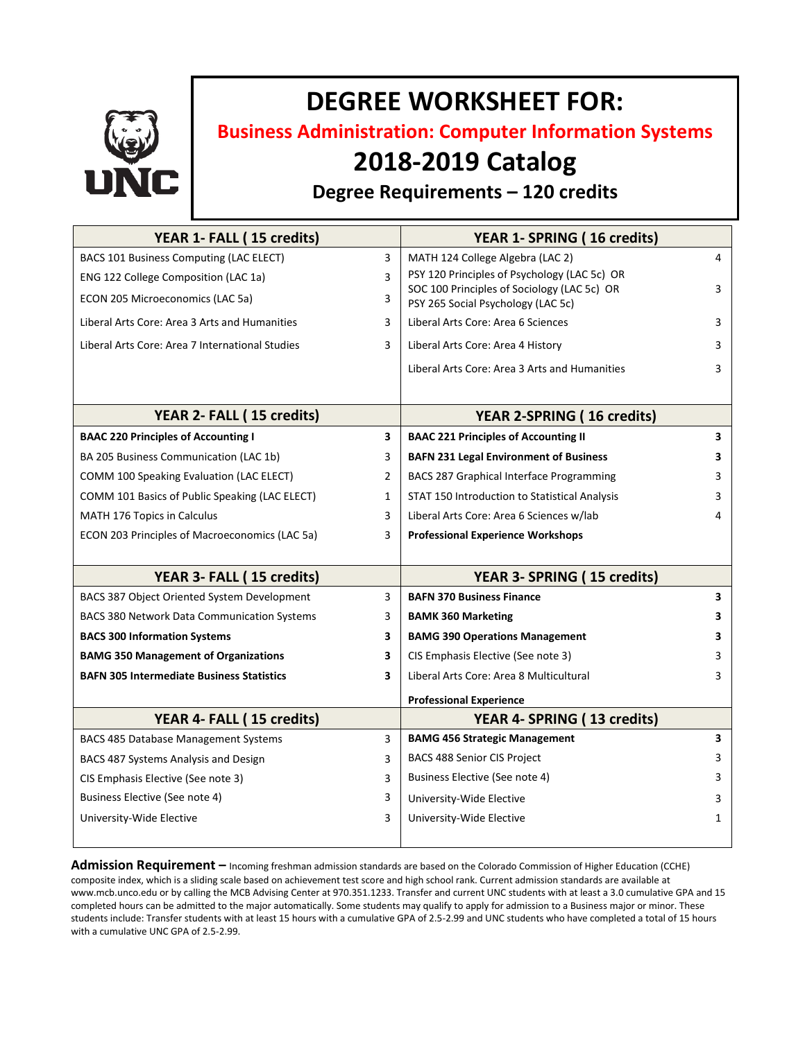

# **DEGREE WORKSHEET FOR:**

**Business Administration: Computer Information Systems**

## **2018-2019 Catalog**

### **Degree Requirements – 120 credits**

| YEAR 1- FALL (15 credits)                        |                         | YEAR 1- SPRING (16 credits)                                                       |              |
|--------------------------------------------------|-------------------------|-----------------------------------------------------------------------------------|--------------|
| BACS 101 Business Computing (LAC ELECT)          | 3                       | MATH 124 College Algebra (LAC 2)                                                  | 4            |
| ENG 122 College Composition (LAC 1a)             | 3                       | PSY 120 Principles of Psychology (LAC 5c) OR                                      |              |
| ECON 205 Microeconomics (LAC 5a)                 | 3                       | SOC 100 Principles of Sociology (LAC 5c) OR<br>PSY 265 Social Psychology (LAC 5c) | 3            |
| Liberal Arts Core: Area 3 Arts and Humanities    | 3                       | Liberal Arts Core: Area 6 Sciences                                                | 3            |
| Liberal Arts Core: Area 7 International Studies  | 3                       | Liberal Arts Core: Area 4 History                                                 | 3            |
|                                                  |                         | Liberal Arts Core: Area 3 Arts and Humanities                                     | 3            |
|                                                  |                         |                                                                                   |              |
| YEAR 2- FALL (15 credits)                        |                         | <b>YEAR 2-SPRING (16 credits)</b>                                                 |              |
| <b>BAAC 220 Principles of Accounting I</b>       | $\overline{\mathbf{3}}$ | <b>BAAC 221 Principles of Accounting II</b>                                       | 3            |
| BA 205 Business Communication (LAC 1b)           | 3                       | <b>BAFN 231 Legal Environment of Business</b>                                     | 3            |
| COMM 100 Speaking Evaluation (LAC ELECT)         | 2                       | BACS 287 Graphical Interface Programming                                          | 3            |
| COMM 101 Basics of Public Speaking (LAC ELECT)   | $\mathbf{1}$            | STAT 150 Introduction to Statistical Analysis                                     | 3            |
| <b>MATH 176 Topics in Calculus</b>               | 3                       | Liberal Arts Core: Area 6 Sciences w/lab                                          | 4            |
| ECON 203 Principles of Macroeconomics (LAC 5a)   | 3                       | <b>Professional Experience Workshops</b>                                          |              |
|                                                  |                         |                                                                                   |              |
| YEAR 3- FALL (15 credits)                        |                         | YEAR 3- SPRING (15 credits)                                                       |              |
| BACS 387 Object Oriented System Development      | 3                       | <b>BAFN 370 Business Finance</b>                                                  | 3            |
| BACS 380 Network Data Communication Systems      | 3                       | <b>BAMK 360 Marketing</b>                                                         | 3.           |
| <b>BACS 300 Information Systems</b>              | 3                       | <b>BAMG 390 Operations Management</b>                                             | 3            |
| <b>BAMG 350 Management of Organizations</b>      | 3                       | CIS Emphasis Elective (See note 3)                                                | 3            |
| <b>BAFN 305 Intermediate Business Statistics</b> | 3                       | Liberal Arts Core: Area 8 Multicultural                                           | 3            |
|                                                  |                         | <b>Professional Experience</b>                                                    |              |
| YEAR 4- FALL (15 credits)                        |                         | YEAR 4- SPRING (13 credits)                                                       |              |
| BACS 485 Database Management Systems             | 3                       | <b>BAMG 456 Strategic Management</b>                                              | 3            |
| BACS 487 Systems Analysis and Design             | 3                       | <b>BACS 488 Senior CIS Project</b>                                                | 3            |
| CIS Emphasis Elective (See note 3)               | 3                       | Business Elective (See note 4)                                                    | 3            |
| Business Elective (See note 4)                   | 3                       | University-Wide Elective                                                          | 3            |
| University-Wide Elective                         | 3                       | University-Wide Elective                                                          | $\mathbf{1}$ |
|                                                  |                         |                                                                                   |              |

**Admission Requirement –** Incoming freshman admission standards are based on the Colorado Commission of Higher Education (CCHE) composite index, which is a sliding scale based on achievement test score and high school rank. Current admission standards are available at www.mcb.unco.edu or by calling the MCB Advising Center at 970.351.1233. Transfer and current UNC students with at least a 3.0 cumulative GPA and 15 completed hours can be admitted to the major automatically. Some students may qualify to apply for admission to a Business major or minor. These students include: Transfer students with at least 15 hours with a cumulative GPA of 2.5-2.99 and UNC students who have completed a total of 15 hours with a cumulative UNC GPA of 2.5-2.99.